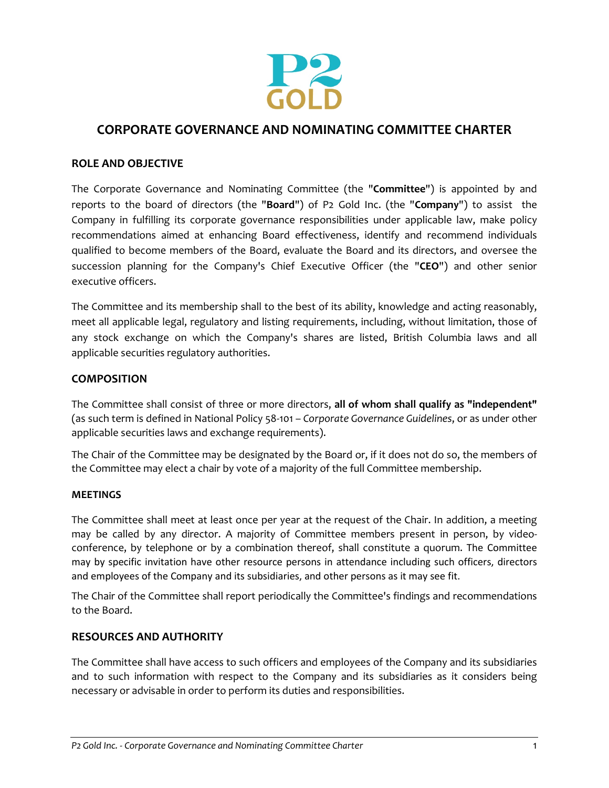

# **CORPORATE GOVERNANCE AND NOMINATING COMMITTEE CHARTER**

## **ROLE AND OBJECTIVE**

The Corporate Governance and Nominating Committee (the "**Committee**") is appointed by and reports to the board of directors (the "**Board**") of P2 Gold Inc. (the "**Company**") to assist the Company in fulfilling its corporate governance responsibilities under applicable law, make policy recommendations aimed at enhancing Board effectiveness, identify and recommend individuals qualified to become members of the Board, evaluate the Board and its directors, and oversee the succession planning for the Company's Chief Executive Officer (the "**CEO**") and other senior executive officers.

The Committee and its membership shall to the best of its ability, knowledge and acting reasonably, meet all applicable legal, regulatory and listing requirements, including, without limitation, those of any stock exchange on which the Company's shares are listed, British Columbia laws and all applicable securities regulatory authorities.

#### **COMPOSITION**

The Committee shall consist of three or more directors, **all of whom shall qualify as "independent"** (as such term is defined in National Policy 58-101 – *Corporate Governance Guidelines*, or as under other applicable securities laws and exchange requirements).

The Chair of the Committee may be designated by the Board or, if it does not do so, the members of the Committee may elect a chair by vote of a majority of the full Committee membership.

#### **MEETINGS**

The Committee shall meet at least once per year at the request of the Chair. In addition, a meeting may be called by any director. A majority of Committee members present in person, by videoconference, by telephone or by a combination thereof, shall constitute a quorum. The Committee may by specific invitation have other resource persons in attendance including such officers, directors and employees of the Company and its subsidiaries, and other persons as it may see fit.

The Chair of the Committee shall report periodically the Committee's findings and recommendations to the Board.

## **RESOURCES AND AUTHORITY**

The Committee shall have access to such officers and employees of the Company and its subsidiaries and to such information with respect to the Company and its subsidiaries as it considers being necessary or advisable in order to perform its duties and responsibilities.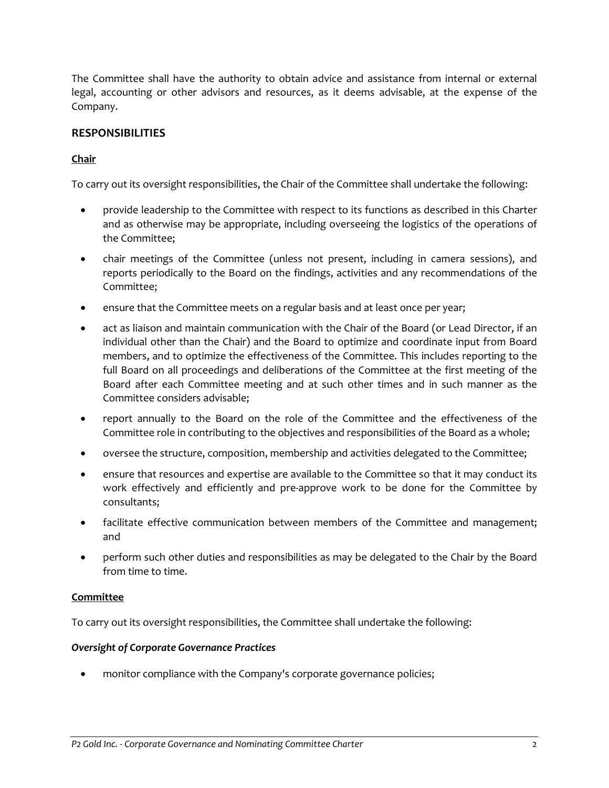The Committee shall have the authority to obtain advice and assistance from internal or external legal, accounting or other advisors and resources, as it deems advisable, at the expense of the Company.

# **RESPONSIBILITIES**

# **Chair**

To carry out its oversight responsibilities, the Chair of the Committee shall undertake the following:

- provide leadership to the Committee with respect to its functions as described in this Charter and as otherwise may be appropriate, including overseeing the logistics of the operations of the Committee;
- chair meetings of the Committee (unless not present, including in camera sessions), and reports periodically to the Board on the findings, activities and any recommendations of the Committee;
- ensure that the Committee meets on a regular basis and at least once per year;
- act as liaison and maintain communication with the Chair of the Board (or Lead Director, if an individual other than the Chair) and the Board to optimize and coordinate input from Board members, and to optimize the effectiveness of the Committee. This includes reporting to the full Board on all proceedings and deliberations of the Committee at the first meeting of the Board after each Committee meeting and at such other times and in such manner as the Committee considers advisable;
- report annually to the Board on the role of the Committee and the effectiveness of the Committee role in contributing to the objectives and responsibilities of the Board as a whole;
- oversee the structure, composition, membership and activities delegated to the Committee;
- ensure that resources and expertise are available to the Committee so that it may conduct its work effectively and efficiently and pre-approve work to be done for the Committee by consultants;
- facilitate effective communication between members of the Committee and management; and
- perform such other duties and responsibilities as may be delegated to the Chair by the Board from time to time.

## **Committee**

To carry out its oversight responsibilities, the Committee shall undertake the following:

## *Oversight of Corporate Governance Practices*

monitor compliance with the Company's corporate governance policies;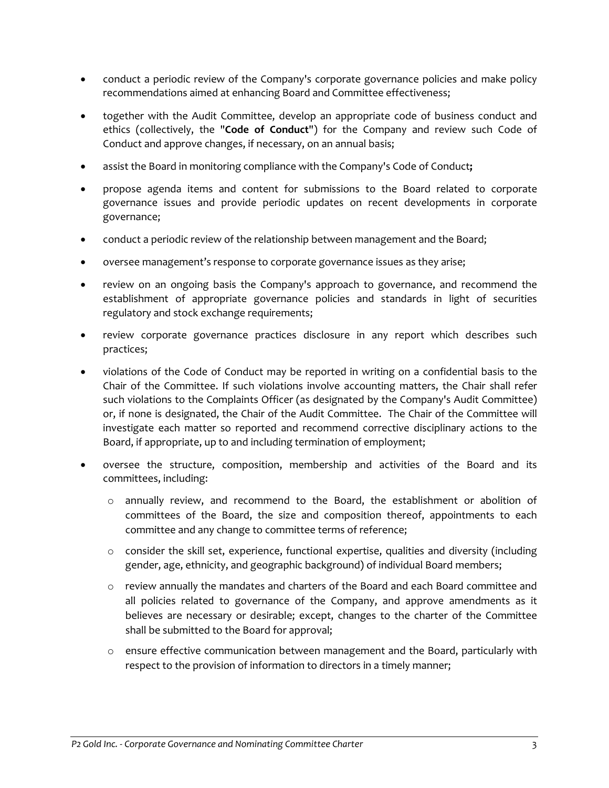- conduct a periodic review of the Company's corporate governance policies and make policy recommendations aimed at enhancing Board and Committee effectiveness;
- together with the Audit Committee, develop an appropriate code of business conduct and ethics (collectively, the "**Code of Conduct**") for the Company and review such Code of Conduct and approve changes, if necessary, on an annual basis;
- assist the Board in monitoring compliance with the Company's Code of Conduct**;**
- propose agenda items and content for submissions to the Board related to corporate governance issues and provide periodic updates on recent developments in corporate governance;
- conduct a periodic review of the relationship between management and the Board;
- oversee management's response to corporate governance issues as they arise;
- review on an ongoing basis the Company's approach to governance, and recommend the establishment of appropriate governance policies and standards in light of securities regulatory and stock exchange requirements;
- review corporate governance practices disclosure in any report which describes such practices;
- violations of the Code of Conduct may be reported in writing on a confidential basis to the Chair of the Committee. If such violations involve accounting matters, the Chair shall refer such violations to the Complaints Officer (as designated by the Company's Audit Committee) or, if none is designated, the Chair of the Audit Committee. The Chair of the Committee will investigate each matter so reported and recommend corrective disciplinary actions to the Board, if appropriate, up to and including termination of employment;
- oversee the structure, composition, membership and activities of the Board and its committees, including:
	- o annually review, and recommend to the Board, the establishment or abolition of committees of the Board, the size and composition thereof, appointments to each committee and any change to committee terms of reference;
	- $\circ$  consider the skill set, experience, functional expertise, qualities and diversity (including gender, age, ethnicity, and geographic background) of individual Board members;
	- o review annually the mandates and charters of the Board and each Board committee and all policies related to governance of the Company, and approve amendments as it believes are necessary or desirable; except, changes to the charter of the Committee shall be submitted to the Board for approval;
	- o ensure effective communication between management and the Board, particularly with respect to the provision of information to directors in a timely manner;